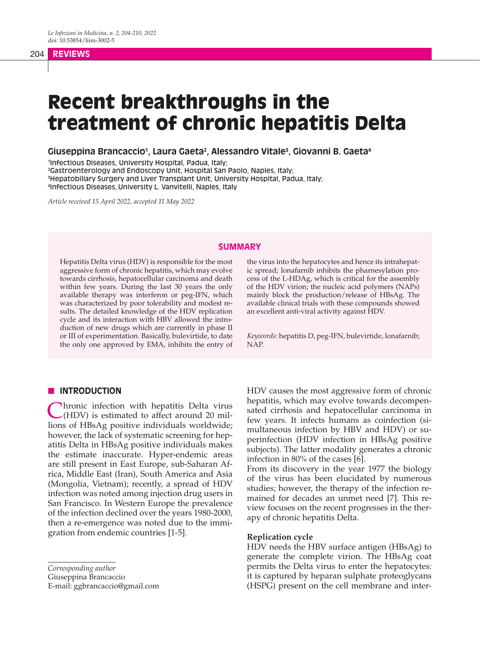# Recent breakthroughs in the treatment of chronic hepatitis Delta

**Giuseppina Brancaccio1 , Laura Gaeta2 , Alessandro Vitale3 , Giovanni B. Gaeta4**

 Infectious Diseases, University Hospital, Padua, Italy; Gastroenterology and Endoscopy Unit, Hospital San Paolo, Naples, Italy; Hepatobiliary Surgery and Liver Transplant Unit, University Hospital, Padua, Italy; Infectious Diseases, University L. Vanvitelli, Naples, Italy

*Article received 15 April 2022, accepted 11 May 2022*

# **SUMMARY**

Hepatitis Delta virus (HDV) is responsible for the most aggressive form of chronic hepatitis, which may evolve towards cirrhosis, hepatocellular carcinoma and death within few years. During the last 30 years the only available therapy was interferon or peg-IFN, which was characterized by poor tolerability and modest results. The detailed knowledge of the HDV replication cycle and its interaction with HBV allowed the introduction of new drugs which are currently in phase II or III of experimentation. Basically, bulevirtide, to date the only one approved by EMA, inhibits the entry of

# **N INTRODUCTION**

**Thronic infection with hepatitis Delta virus** (HDV) is estimated to affect around 20 millions of HBsAg positive individuals worldwide; however, the lack of systematic screening for hepatitis Delta in HBsAg positive individuals makes the estimate inaccurate. Hyper-endemic areas are still present in East Europe, sub-Saharan Africa, Middle East (Iran), South America and Asia (Mongolia, Vietnam); recently, a spread of HDV infection was noted among injection drug users in San Francisco. In Western Europe the prevalence of the infection declined over the years 1980-2000, then a re-emergence was noted due to the immigration from endemic countries [1-5].

*Corresponding author*

Giuseppina Brancaccio

E-mail: ggbrancaccio@gmail.com

the virus into the hepatocytes and hence its intrahepatic spread; lonafarnib inhibits the pharnesylation process of the L-HDAg, which is critical for the assembly of the HDV virion; the nucleic acid polymers (NAPs) mainly block the production/release of HBsAg. The available clinical trials with these compounds showed an excellent anti-viral activity against HDV.

*Keywords*: hepatitis D, peg-IFN, bulevirtide, lonafarnib; NAP.

HDV causes the most aggressive form of chronic hepatitis, which may evolve towards decompensated cirrhosis and hepatocellular carcinoma in few years. It infects humans as coinfection (simultaneous infection by HBV and HDV) or superinfection (HDV infection in HBsAg positive subjects). The latter modality generates a chronic infection in 80% of the cases [6].

From its discovery in the year 1977 the biology of the virus has been elucidated by numerous studies; however, the therapy of the infection remained for decades an unmet need [7]. This review focuses on the recent progresses in the therapy of chronic hepatitis Delta.

#### **Replication cycle**

HDV needs the HBV surface antigen (HBsAg) to generate the complete virion. The HBsAg coat permits the Delta virus to enter the hepatocytes: it is captured by heparan sulphate proteoglycans (HSPG) present on the cell membrane and inter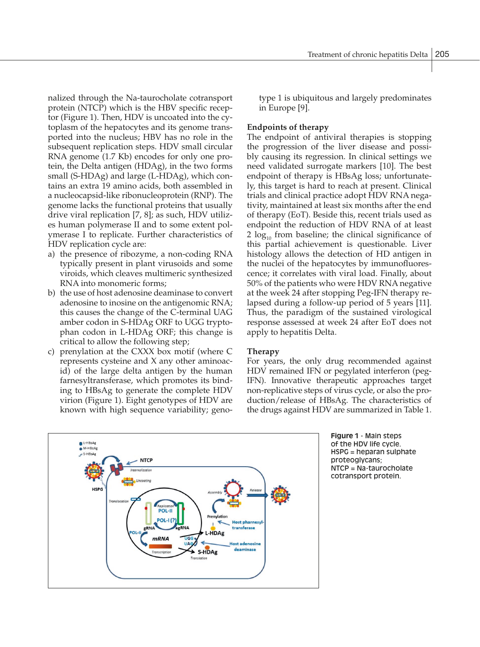nalized through the Na-taurocholate cotransport protein (NTCP) which is the HBV specific receptor (Figure 1). Then, HDV is uncoated into the cytoplasm of the hepatocytes and its genome transported into the nucleus; HBV has no role in the subsequent replication steps. HDV small circular RNA genome (1.7 Kb) encodes for only one protein, the Delta antigen (HDAg), in the two forms small (S-HDAg) and large (L-HDAg), which contains an extra 19 amino acids, both assembled in a nucleocapsid-like ribonucleoprotein (RNP). The genome lacks the functional proteins that usually drive viral replication [7, 8]; as such, HDV utilizes human polymerase II and to some extent polymerase I to replicate. Further characteristics of HDV replication cycle are:

- a) the presence of ribozyme, a non-coding RNA typically present in plant virusoids and some viroids, which cleaves multimeric synthesized RNA into monomeric forms;
- b) the use of host adenosine deaminase to convert adenosine to inosine on the antigenomic RNA; this causes the change of the C-terminal UAG amber codon in S-HDAg ORF to UGG tryptophan codon in L-HDAg ORF; this change is critical to allow the following step;
- c) prenylation at the CXXX box motif (where C represents cysteine and X any other aminoacid) of the large delta antigen by the human farnesyltransferase, which promotes its binding to HBsAg to generate the complete HDV virion (Figure 1). Eight genotypes of HDV are known with high sequence variability; geno-

type 1 is ubiquitous and largely predominates in Europe [9].

## **Endpoints of therapy**

The endpoint of antiviral therapies is stopping the progression of the liver disease and possibly causing its regression. In clinical settings we need validated surrogate markers [10]. The best endpoint of therapy is HBsAg loss; unfortunately, this target is hard to reach at present. Clinical trials and clinical practice adopt HDV RNA negativity, maintained at least six months after the end of therapy (EoT). Beside this, recent trials used as endpoint the reduction of HDV RNA of at least  $2 \log_{10}$  from baseline; the clinical significance of this partial achievement is questionable. Liver histology allows the detection of HD antigen in the nuclei of the hepatocytes by immunofluorescence; it correlates with viral load. Finally, about 50% of the patients who were HDV RNA negative at the week 24 after stopping Peg-IFN therapy relapsed during a follow-up period of 5 years [11]. Thus, the paradigm of the sustained virological response assessed at week 24 after EoT does not apply to hepatitis Delta.

# **Therapy**

For years, the only drug recommended against HDV remained IFN or pegylated interferon (peg-IFN). Innovative therapeutic approaches target non-replicative steps of virus cycle, or also the production/release of HBsAg. The characteristics of the drugs against HDV are summarized in Table 1.



**Figure 1** - Main steps of the HDV life cycle. HSPG = heparan sulphate proteoglycans; NTCP = Na-taurocholate cotransport protein.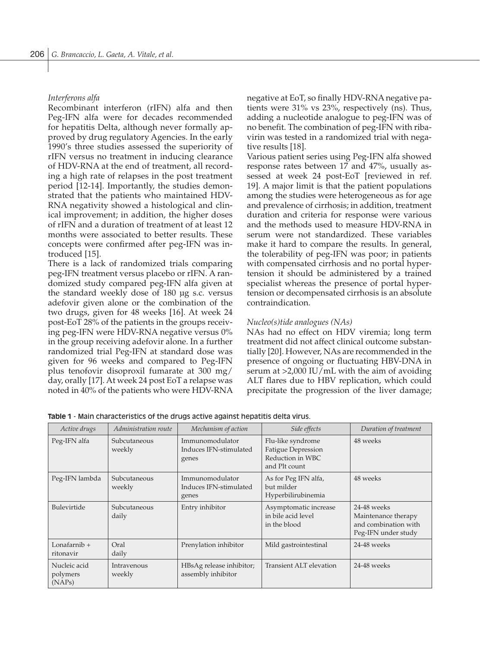### *Interferons alfa*

Recombinant interferon (rIFN) alfa and then Peg-IFN alfa were for decades recommended for hepatitis Delta, although never formally approved by drug regulatory Agencies. In the early 1990's three studies assessed the superiority of rIFN versus no treatment in inducing clearance of HDV-RNA at the end of treatment, all recording a high rate of relapses in the post treatment period [12-14]. Importantly, the studies demonstrated that the patients who maintained HDV-RNA negativity showed a histological and clinical improvement; in addition, the higher doses of rIFN and a duration of treatment of at least 12 months were associated to better results. These concepts were confirmed after peg-IFN was introduced [15].

There is a lack of randomized trials comparing peg-IFN treatment versus placebo or rIFN. A randomized study compared peg-IFN alfa given at the standard weekly dose of 180 µg s.c. versus adefovir given alone or the combination of the two drugs, given for 48 weeks [16]. At week 24 post-EoT 28% of the patients in the groups receiving peg-IFN were HDV-RNA negative versus 0% in the group receiving adefovir alone. In a further randomized trial Peg-IFN at standard dose was given for 96 weeks and compared to Peg-IFN plus tenofovir disoproxil fumarate at 300 mg/ day, orally [17]. At week 24 post EoT a relapse was noted in 40% of the patients who were HDV-RNA negative at EoT, so finally HDV-RNA negative patients were 31% vs 23%, respectively (ns). Thus, adding a nucleotide analogue to peg-IFN was of no benefit. The combination of peg-IFN with ribavirin was tested in a randomized trial with negative results [18].

Various patient series using Peg-IFN alfa showed response rates between 17 and 47%, usually assessed at week 24 post-EoT [reviewed in ref. 19]. A major limit is that the patient populations among the studies were heterogeneous as for age and prevalence of cirrhosis; in addition, treatment duration and criteria for response were various and the methods used to measure HDV-RNA in serum were not standardized. These variables make it hard to compare the results. In general, the tolerability of peg-IFN was poor; in patients with compensated cirrhosis and no portal hypertension it should be administered by a trained specialist whereas the presence of portal hypertension or decompensated cirrhosis is an absolute contraindication.

#### *Nucleo(s)tide analogues (NAs)*

NAs had no effect on HDV viremia; long term treatment did not affect clinical outcome substantially [20]. However, NAs are recommended in the presence of ongoing or fluctuating HBV-DNA in serum at >2,000 IU/mL with the aim of avoiding ALT flares due to HBV replication, which could precipitate the progression of the liver damage;

| Active drugs                       | Administration route   | Mechanism of action                                | Side effects                                                                        | Duration of treatment                                                             |
|------------------------------------|------------------------|----------------------------------------------------|-------------------------------------------------------------------------------------|-----------------------------------------------------------------------------------|
| Peg-IFN alfa                       | Subcutaneous<br>weekly | Immunomodulator<br>Induces IFN-stimulated<br>genes | Flu-like syndrome<br><b>Fatigue Depression</b><br>Reduction in WBC<br>and Plt count | 48 weeks                                                                          |
| Peg-IFN lambda                     | Subcutaneous<br>weekly | Immunomodulator<br>Induces IFN-stimulated<br>genes | As for Peg IFN alfa,<br>but milder<br>Hyperbilirubinemia                            | 48 weeks                                                                          |
| Bulevirtide                        | Subcutaneous<br>daily  | Entry inhibitor                                    | Asymptomatic increase<br>in bile acid level<br>in the blood                         | 24-48 weeks<br>Maintenance therapy<br>and combination with<br>Peg-IFN under study |
| Lonafarni $b +$<br>ritonavir       | Oral<br>daily          | Prenylation inhibitor                              | Mild gastrointestinal                                                               | 24-48 weeks                                                                       |
| Nucleic acid<br>polymers<br>(NAPs) | Intravenous<br>weekly  | HBsAg release inhibitor;<br>assembly inhibitor     | Transient ALT elevation                                                             | 24-48 weeks                                                                       |

**Table 1** - Main characteristics of the drugs active against hepatitis delta virus.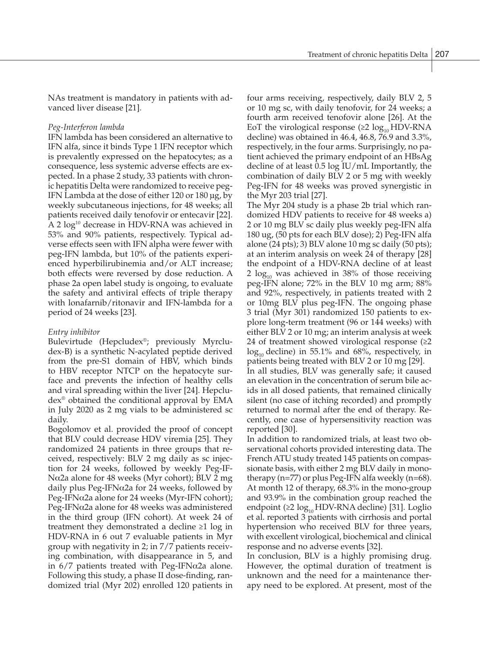NAs treatment is mandatory in patients with advanced liver disease [21].

#### *Peg-Interferon lambda*

IFN lambda has been considered an alternative to IFN alfa, since it binds Type 1 IFN receptor which is prevalently expressed on the hepatocytes; as a consequence, less systemic adverse effects are expected. In a phase 2 study, 33 patients with chronic hepatitis Delta were randomized to receive peg-IFN Lambda at the dose of either 120 or 180 µg, by weekly subcutaneous injections, for 48 weeks; all patients received daily tenofovir or entecavir [22]. A 2 log<sup>10</sup> decrease in HDV-RNA was achieved in 53% and 90% patients, respectively. Typical adverse effects seen with IFN alpha were fewer with peg-IFN lambda, but 10% of the patients experienced hyperbilirubinemia and/or ALT increase; both effects were reversed by dose reduction. A phase 2a open label study is ongoing, to evaluate the safety and antiviral effects of triple therapy with lonafarnib/ritonavir and IFN-lambda for a period of 24 weeks [23].

## *Entry inhibitor*

Bulevirtude (Hepcludex®; previously Myrcludex-B) is a synthetic N-acylated peptide derived from the pre-S1 domain of HBV, which binds to HBV receptor NTCP on the hepatocyte surface and prevents the infection of healthy cells and viral spreading within the liver [24]. Hepcludex® obtained the conditional approval by EMA in July 2020 as 2 mg vials to be administered sc daily.

Bogolomov et al. provided the proof of concept that BLV could decrease HDV viremia [25]. They randomized 24 patients in three groups that received, respectively: BLV 2 mg daily as sc injection for 24 weeks, followed by weekly Peg-IF-Nα2a alone for 48 weeks (Myr cohort); BLV 2 mg daily plus Peg-IFN $\alpha$ 2a for 24 weeks, followed by Peg-IFNα2a alone for 24 weeks (Myr-IFN cohort); Peg-IFNα2a alone for 48 weeks was administered in the third group (IFN cohort). At week 24 of treatment they demonstrated a decline ≥1 log in HDV-RNA in 6 out 7 evaluable patients in Myr group with negativity in 2; in 7/7 patients receiving combination, with disappearance in 5, and in  $6/7$  patients treated with Peg-IFNα2a alone. Following this study, a phase II dose-finding, randomized trial (Myr 202) enrolled 120 patients in four arms receiving, respectively, daily BLV 2, 5 or 10 mg sc, with daily tenofovir, for 24 weeks; a fourth arm received tenofovir alone [26]. At the EoT the virological response ( $\geq 2 \log_{10} \text{HDV-RNA}$ decline) was obtained in 46.4, 46.8, 76.9 and 3.3%, respectively, in the four arms. Surprisingly, no patient achieved the primary endpoint of an HBsAg decline of at least 0.5 log IU/mL Importantly, the combination of daily BLV 2 or 5 mg with weekly Peg-IFN for 48 weeks was proved synergistic in the Myr 203 trial [27].

The Myr 204 study is a phase 2b trial which randomized HDV patients to receive for 48 weeks a) 2 or 10 mg BLV sc daily plus weekly peg-IFN alfa 180 ug, (50 pts for each BLV dose); 2) Peg-IFN alfa alone (24 pts); 3) BLV alone 10 mg sc daily (50 pts); at an interim analysis on week 24 of therapy [28] the endpoint of a HDV-RNA decline of at least 2  $log_{10}$  was achieved in 38% of those receiving peg-IFN alone; 72% in the BLV 10 mg arm; 88% and 92%, respectively, in patients treated with 2 or 10mg BLV plus peg-IFN. The ongoing phase 3 trial (Myr 301) randomized 150 patients to explore long-term treatment (96 or 144 weeks) with either BLV 2 or 10 mg; an interim analysis at week 24 of treatment showed virological response (≥2  $log_{10}$  decline) in 55.1% and 68%, respectively, in patients being treated with BLV 2 or 10 mg [29].

In all studies, BLV was generally safe; it caused an elevation in the concentration of serum bile acids in all dosed patients, that remained clinically silent (no case of itching recorded) and promptly returned to normal after the end of therapy. Recently, one case of hypersensitivity reaction was reported [30].

In addition to randomized trials, at least two observational cohorts provided interesting data. The French ATU study treated 145 patients on compassionate basis, with either 2 mg BLV daily in monotherapy ( $n=77$ ) or plus Peg-IFN alfa weekly ( $n=68$ ). At month 12 of therapy, 68.3% in the mono-group and 93.9% in the combination group reached the endpoint (≥2  $log_{10}$ HDV-RNA decline) [31]. Loglio et al. reported 3 patients with cirrhosis and portal hypertension who received BLV for three years, with excellent virological, biochemical and clinical response and no adverse events [32].

In conclusion, BLV is a highly promising drug. However, the optimal duration of treatment is unknown and the need for a maintenance therapy need to be explored. At present, most of the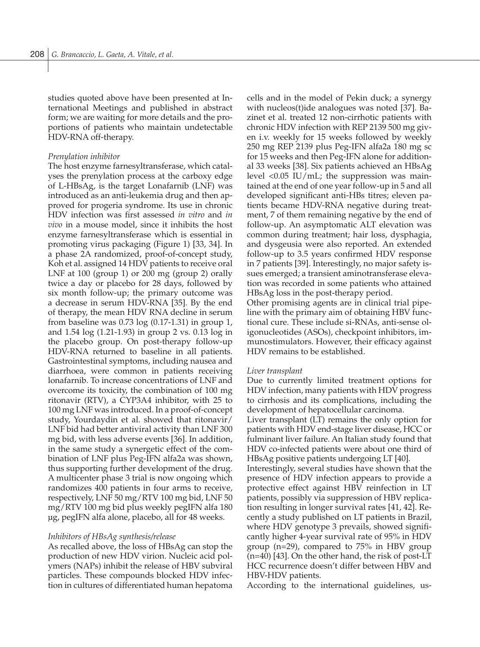studies quoted above have been presented at International Meetings and published in abstract form; we are waiting for more details and the proportions of patients who maintain undetectable HDV-RNA off-therapy.

#### *Prenylation inhibitor*

The host enzyme farnesyltransferase, which catalyses the prenylation process at the carboxy edge of L-HBsAg, is the target Lonafarnib (LNF) was introduced as an anti-leukemia drug and then approved for progeria syndrome. Its use in chronic HDV infection was first assessed *in vitro* and *in vivo* in a mouse model, since it inhibits the host enzyme farnesyltransferase which is essential in promoting virus packaging (Figure 1) [33, 34]. In a phase 2A randomized, proof-of-concept study, Koh et al. assigned 14 HDV patients to receive oral LNF at 100 (group 1) or 200 mg (group 2) orally twice a day or placebo for 28 days, followed by six month follow-up; the primary outcome was a decrease in serum HDV-RNA [35]. By the end of therapy, the mean HDV RNA decline in serum from baseline was  $0.73 \log (0.17 - 1.31)$  in group 1, and 1.54 log (1.21-1.93) in group 2 vs. 0.13 log in the placebo group. On post-therapy follow-up HDV-RNA returned to baseline in all patients. Gastrointestinal symptoms, including nausea and diarrhoea, were common in patients receiving lonafarnib. To increase concentrations of LNF and overcome its toxicity, the combination of 100 mg ritonavir (RTV), a CYP3A4 inhibitor, with 25 to 100 mg LNF was introduced. In a proof-of-concept study, Yourdaydin et al. showed that ritonavir/ LNF bid had better antiviral activity than LNF 300 mg bid, with less adverse events [36]. In addition, in the same study a synergetic effect of the combination of LNF plus Peg-IFN alfa2a was shown, thus supporting further development of the drug. A multicenter phase 3 trial is now ongoing which randomizes 400 patients in four arms to receive, respectively, LNF 50 mg/RTV 100 mg bid, LNF 50 mg/RTV 100 mg bid plus weekly pegIFN alfa 180 µg, pegIFN alfa alone, placebo, all for 48 weeks.

## *Inhibitors of HBsAg synthesis/release*

As recalled above, the loss of HBsAg can stop the production of new HDV virion. Nucleic acid polymers (NAPs) inhibit the release of HBV subviral particles. These compounds blocked HDV infection in cultures of differentiated human hepatoma

cells and in the model of Pekin duck; a synergy with nucleos(t)ide analogues was noted [37]. Bazinet et al. treated 12 non-cirrhotic patients with chronic HDV infection with REP 2139 500 mg given i.v. weekly for 15 weeks followed by weekly 250 mg REP 2139 plus Peg-IFN alfa2a 180 mg sc for 15 weeks and then Peg-IFN alone for additional 33 weeks [38]. Six patients achieved an HBsAg level <0.05 IU/mL; the suppression was maintained at the end of one year follow-up in 5 and all developed significant anti-HBs titres; eleven patients became HDV-RNA negative during treatment, 7 of them remaining negative by the end of follow-up. An asymptomatic ALT elevation was common during treatment; hair loss, dysphagia, and dysgeusia were also reported. An extended follow-up to 3.5 years confirmed HDV response in 7 patients [39]. Interestingly, no major safety issues emerged; a transient aminotransferase elevation was recorded in some patients who attained HBsAg loss in the post-therapy period.

Other promising agents are in clinical trial pipeline with the primary aim of obtaining HBV functional cure. These include si-RNAs, anti-sense oligonucleotides (ASOs), checkpoint inhibitors, immunostimulators. However, their efficacy against HDV remains to be established.

#### *Liver transplant*

Due to currently limited treatment options for HDV infection, many patients with HDV progress to cirrhosis and its complications, including the development of hepatocellular carcinoma.

Liver transplant (LT) remains the only option for patients with HDV end-stage liver disease, HCC or fulminant liver failure. An Italian study found that HDV co-infected patients were about one third of HBsAg positive patients undergoing LT [40].

Interestingly, several studies have shown that the presence of HDV infection appears to provide a protective effect against HBV reinfection in LT patients, possibly via suppression of HBV replication resulting in longer survival rates [41, 42]. Recently a study published on LT patients in Brazil, where HDV genotype 3 prevails, showed significantly higher 4-year survival rate of 95% in HDV group (n=29), compared to 75% in HBV group (n=40) [43]. On the other hand, the risk of post-LT HCC recurrence doesn't differ between HBV and HBV-HDV patients.

According to the international guidelines, us-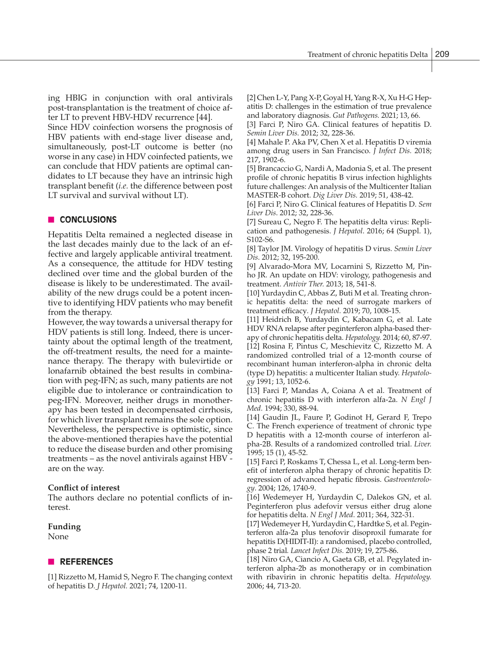ing HBIG in conjunction with oral antivirals post-transplantation is the treatment of choice after LT to prevent HBV-HDV recurrence [44].

Since HDV coinfection worsens the prognosis of HBV patients with end-stage liver disease and, simultaneously, post-LT outcome is better (no worse in any case) in HDV coinfected patients, we can conclude that HDV patients are optimal candidates to LT because they have an intrinsic high transplant benefit (*i.e.* the difference between post LT survival and survival without LT).

# **n CONCLUSIONS**

Hepatitis Delta remained a neglected disease in the last decades mainly due to the lack of an effective and largely applicable antiviral treatment. As a consequence, the attitude for HDV testing declined over time and the global burden of the disease is likely to be underestimated. The availability of the new drugs could be a potent incentive to identifying HDV patients who may benefit from the therapy.

However, the way towards a universal therapy for HDV patients is still long. Indeed, there is uncertainty about the optimal length of the treatment, the off-treatment results, the need for a maintenance therapy. The therapy with bulevirtide or lonafarnib obtained the best results in combination with peg-IFN; as such, many patients are not eligible due to intolerance or contraindication to peg-IFN. Moreover, neither drugs in monotherapy has been tested in decompensated cirrhosis, for which liver transplant remains the sole option. Nevertheless, the perspective is optimistic, since the above-mentioned therapies have the potential to reduce the disease burden and other promising treatments – as the novel antivirals against HBV are on the way.

## **Conflict of interest**

The authors declare no potential conflicts of interest.

#### **Funding** None

# **N** REFERENCES

[1] Rizzetto M, Hamid S, Negro F. The changing context of hepatitis D. *J Hepatol.* 2021; 74, 1200-11.

[2] Chen L-Y, Pang X-P, Goyal H, Yang R-X, Xu H-G Hepatitis D: challenges in the estimation of true prevalence and laboratory diagnosis. *Gut Pathogens.* 2021; 13, 66.

[3] Farci P, Niro GA. Clinical features of hepatitis D. *Semin Liver Dis.* 2012; 32, 228-36.

[4] Mahale P. Aka PV, Chen X et al. Hepatitis D viremia among drug users in San Francisco. *J Infect Dis.* 2018; 217, 1902-6.

[5] Brancaccio G, Nardi A, Madonia S, et al. The present profile of chronic hepatitis B virus infection highlights future challenges: An analysis of the Multicenter Italian MASTER-B cohort. *Dig Liver Dis.* 2019; 51, 438-42.

[6] Farci P, Niro G. Clinical features of Hepatitis D. *Sem Liver Dis*. 2012; 32, 228-36.

[7] Sureau C, Negro F. The hepatitis delta virus: Replication and pathogenesis. *J Hepatol*. 2016; 64 (Suppl. 1), S102-S6.

[8] Taylor JM. Virology of hepatitis D virus. *Semin Liver Dis*. 2012; 32, 195-200.

[9] Alvarado-Mora MV, Locarnini S, Rizzetto M, Pinho JR. An update on HDV: virology, pathogenesis and treatment. *Antivir Ther.* 2013; 18, 541-8.

[10] Yurdaydin C, Abbas Z, Buti M et al. Treating chronic hepatitis delta: the need of surrogate markers of treatment efficacy*. J Hepatol.* 2019; 70, 1008-15.

[11] Heidrich B, Yurdaydin C, Kabacam G, et al. Late HDV RNA relapse after peginterferon alpha-based therapy of chronic hepatitis delta. *Hepatology.* 2014; 60, 87-97. [12] Rosina F, Pintus C, Meschievitz C, Rizzetto M. A randomized controlled trial of a 12-month course of recombinant human interferon-alpha in chronic delta (type D) hepatitis: a multicenter Italian study. *Hepatology* 1991; 13, 1052-6.

[13] Farci P, Mandas A, Coiana A et al. Treatment of chronic hepatitis D with interferon alfa-2a. *N Engl J Med.* 1994; 330, 88-94.

[14] Gaudin JL, Faure P, Godinot H, Gerard F, Trepo C. The French experience of treatment of chronic type D hepatitis with a 12-month course of interferon alpha-2B. Results of a randomized controlled trial. *Liver.*  1995; 15 (1), 45-52.

[15] Farci P, Roskams T, Chessa L, et al. Long-term benefit of interferon alpha therapy of chronic hepatitis D: regression of advanced hepatic fibrosis. *Gastroenterology*. 2004; 126, 1740-9.

[16] Wedemeyer H, Yurdaydin C, Dalekos GN, et al. Peginterferon plus adefovir versus either drug alone for hepatitis delta. *N Engl J Med*. 2011; 364, 322-31.

[17] Wedemeyer H, Yurdaydin C, Hardtke S, et al. Peginterferon alfa-2a plus tenofovir disoproxil fumarate for hepatitis D(HIDIT-II): a randomised, placebo controlled, phase 2 trial*. Lancet Infect Dis.* 2019; 19, 275-86.

[18] Niro GA, Ciancio A, Gaeta GB, et al. Pegylated interferon alpha-2b as monotherapy or in combination with ribavirin in chronic hepatitis delta. *Hepatology.* 2006; 44, 713-20.